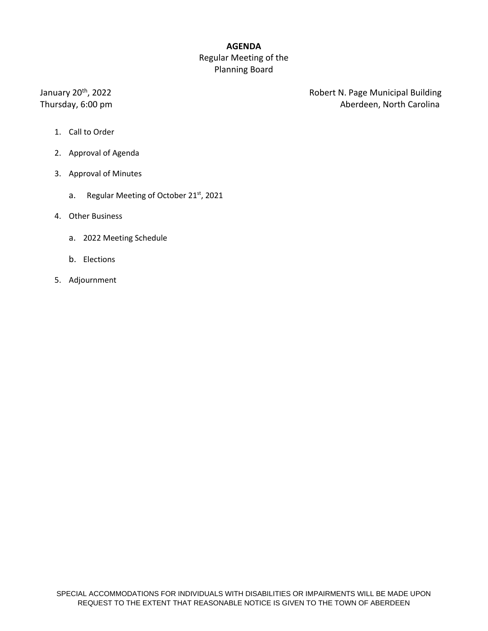# **AGENDA** Regular Meeting of the Planning Board

January 20<sup>th</sup>, 2022

Robert N. Page Municipal Building Thursday, 6:00 pm **Aberdeen**, North Carolina

- 1. Call to Order
- 2. Approval of Agenda
- 3. Approval of Minutes
	- a. Regular Meeting of October 21<sup>st</sup>, 2021
- 4. Other Business
	- a. 2022 Meeting Schedule
	- b. Elections
- 5. Adjournment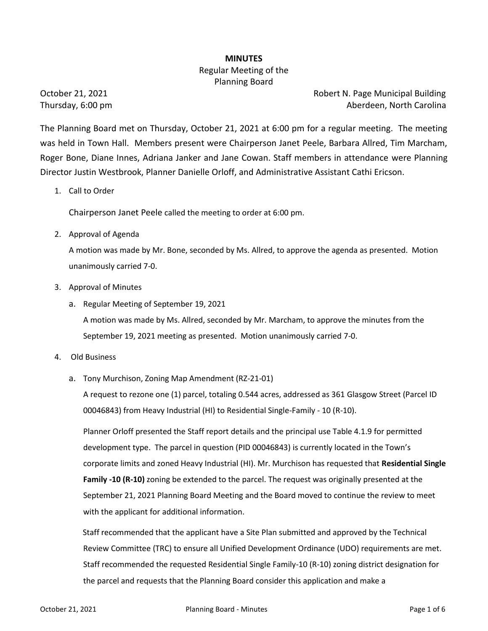### **MINUTES**

# Regular Meeting of the Planning Board

October 21, 2021 **Robert N. Page Municipal Building** Cortober 21, 2021 Thursday, 6:00 pm **Aberdeen, North Carolina** 

The Planning Board met on Thursday, October 21, 2021 at 6:00 pm for a regular meeting. The meeting was held in Town Hall. Members present were Chairperson Janet Peele, Barbara Allred, Tim Marcham, Roger Bone, Diane Innes, Adriana Janker and Jane Cowan. Staff members in attendance were Planning Director Justin Westbrook, Planner Danielle Orloff, and Administrative Assistant Cathi Ericson.

1. Call to Order

Chairperson Janet Peele called the meeting to order at 6:00 pm.

2. Approval of Agenda

A motion was made by Mr. Bone, seconded by Ms. Allred, to approve the agenda as presented. Motion unanimously carried 7-0.

- 3. Approval of Minutes
	- a. Regular Meeting of September 19, 2021

A motion was made by Ms. Allred, seconded by Mr. Marcham, to approve the minutes from the September 19, 2021 meeting as presented. Motion unanimously carried 7-0.

- 4. Old Business
	- a. Tony Murchison, Zoning Map Amendment (RZ-21-01)

A request to rezone one (1) parcel, totaling 0.544 acres, addressed as 361 Glasgow Street (Parcel ID 00046843) from Heavy Industrial (HI) to Residential Single-Family - 10 (R-10).

Planner Orloff presented the Staff report details and the principal use Table 4.1.9 for permitted development type. The parcel in question (PID 00046843) is currently located in the Town's corporate limits and zoned Heavy Industrial (HI). Mr. Murchison has requested that **Residential Single Family -10 (R-10)** zoning be extended to the parcel. The request was originally presented at the September 21, 2021 Planning Board Meeting and the Board moved to continue the review to meet with the applicant for additional information.

 Staff recommended that the applicant have a Site Plan submitted and approved by the Technical Review Committee (TRC) to ensure all Unified Development Ordinance (UDO) requirements are met. Staff recommended the requested Residential Single Family-10 (R-10) zoning district designation for the parcel and requests that the Planning Board consider this application and make a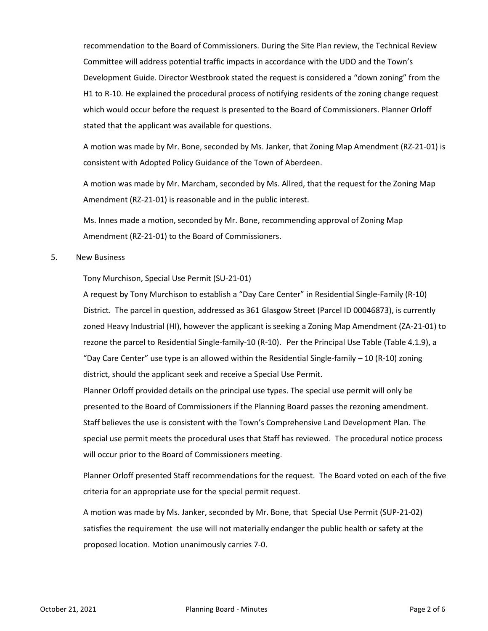recommendation to the Board of Commissioners. During the Site Plan review, the Technical Review Committee will address potential traffic impacts in accordance with the UDO and the Town's Development Guide. Director Westbrook stated the request is considered a "down zoning" from the H1 to R-10. He explained the procedural process of notifying residents of the zoning change request which would occur before the request Is presented to the Board of Commissioners. Planner Orloff stated that the applicant was available for questions.

A motion was made by Mr. Bone, seconded by Ms. Janker, that Zoning Map Amendment (RZ-21-01) is consistent with Adopted Policy Guidance of the Town of Aberdeen.

A motion was made by Mr. Marcham, seconded by Ms. Allred, that the request for the Zoning Map Amendment (RZ-21-01) is reasonable and in the public interest.

Ms. Innes made a motion, seconded by Mr. Bone, recommending approval of Zoning Map Amendment (RZ-21-01) to the Board of Commissioners.

#### 5. New Business

Tony Murchison, Special Use Permit (SU-21-01)

A request by Tony Murchison to establish a "Day Care Center" in Residential Single-Family (R-10) District. The parcel in question, addressed as 361 Glasgow Street (Parcel ID 00046873), is currently zoned Heavy Industrial (HI), however the applicant is seeking a Zoning Map Amendment (ZA-21-01) to rezone the parcel to Residential Single-family-10 (R-10). Per the Principal Use Table (Table 4.1.9), a "Day Care Center" use type is an allowed within the Residential Single-family – 10 (R-10) zoning district, should the applicant seek and receive a Special Use Permit.

Planner Orloff provided details on the principal use types. The special use permit will only be presented to the Board of Commissioners if the Planning Board passes the rezoning amendment. Staff believes the use is consistent with the Town's Comprehensive Land Development Plan. The special use permit meets the procedural uses that Staff has reviewed. The procedural notice process will occur prior to the Board of Commissioners meeting.

Planner Orloff presented Staff recommendations for the request. The Board voted on each of the five criteria for an appropriate use for the special permit request.

A motion was made by Ms. Janker, seconded by Mr. Bone, that Special Use Permit (SUP-21-02) satisfies the requirement the use will not materially endanger the public health or safety at the proposed location. Motion unanimously carries 7-0.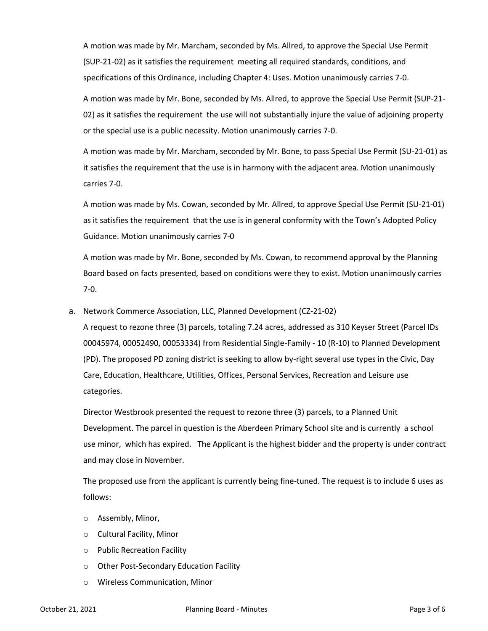A motion was made by Mr. Marcham, seconded by Ms. Allred, to approve the Special Use Permit (SUP-21-02) as it satisfies the requirement meeting all required standards, conditions, and specifications of this Ordinance, including Chapter 4: Uses. Motion unanimously carries 7-0.

A motion was made by Mr. Bone, seconded by Ms. Allred, to approve the Special Use Permit (SUP-21- 02) as it satisfies the requirement the use will not substantially injure the value of adjoining property or the special use is a public necessity. Motion unanimously carries 7-0.

A motion was made by Mr. Marcham, seconded by Mr. Bone, to pass Special Use Permit (SU-21-01) as it satisfies the requirement that the use is in harmony with the adjacent area. Motion unanimously carries 7-0.

A motion was made by Ms. Cowan, seconded by Mr. Allred, to approve Special Use Permit (SU-21-01) as it satisfies the requirement that the use is in general conformity with the Town's Adopted Policy Guidance. Motion unanimously carries 7-0

A motion was made by Mr. Bone, seconded by Ms. Cowan, to recommend approval by the Planning Board based on facts presented, based on conditions were they to exist. Motion unanimously carries 7-0.

a. Network Commerce Association, LLC, Planned Development (CZ-21-02)

A request to rezone three (3) parcels, totaling 7.24 acres, addressed as 310 Keyser Street (Parcel IDs 00045974, 00052490, 00053334) from Residential Single-Family - 10 (R-10) to Planned Development (PD). The proposed PD zoning district is seeking to allow by-right several use types in the Civic, Day Care, Education, Healthcare, Utilities, Offices, Personal Services, Recreation and Leisure use categories.

Director Westbrook presented the request to rezone three (3) parcels, to a Planned Unit Development. The parcel in question is the Aberdeen Primary School site and is currently a school use minor, which has expired. The Applicant is the highest bidder and the property is under contract and may close in November.

The proposed use from the applicant is currently being fine-tuned. The request is to include 6 uses as follows:

- o Assembly, Minor,
- o Cultural Facility, Minor
- o Public Recreation Facility
- o Other Post-Secondary Education Facility
- o Wireless Communication, Minor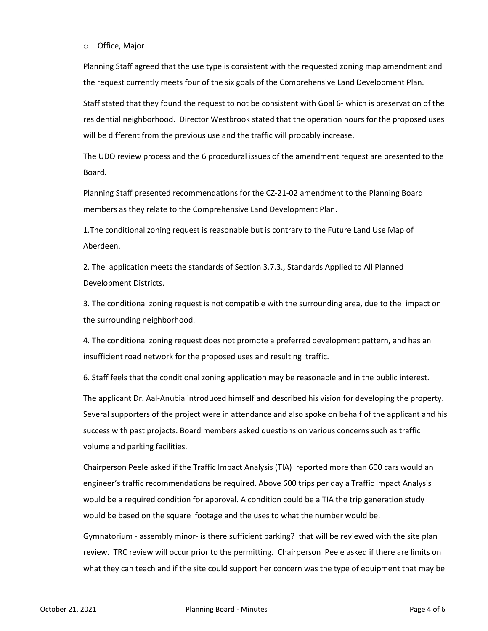o Office, Major

Planning Staff agreed that the use type is consistent with the requested zoning map amendment and the request currently meets four of the six goals of the Comprehensive Land Development Plan.

Staff stated that they found the request to not be consistent with Goal 6- which is preservation of the residential neighborhood. Director Westbrook stated that the operation hours for the proposed uses will be different from the previous use and the traffic will probably increase.

The UDO review process and the 6 procedural issues of the amendment request are presented to the Board.

Planning Staff presented recommendations for the CZ-21-02 amendment to the Planning Board members as they relate to the Comprehensive Land Development Plan.

1. The conditional zoning request is reasonable but is contrary to the **Future Land Use Map of** Aberdeen.

2. The application meets the standards of Section 3.7.3., Standards Applied to All Planned Development Districts.

3. The conditional zoning request is not compatible with the surrounding area, due to the impact on the surrounding neighborhood.

4. The conditional zoning request does not promote a preferred development pattern, and has an insufficient road network for the proposed uses and resulting traffic.

6. Staff feels that the conditional zoning application may be reasonable and in the public interest.

The applicant Dr. Aal-Anubia introduced himself and described his vision for developing the property. Several supporters of the project were in attendance and also spoke on behalf of the applicant and his success with past projects. Board members asked questions on various concerns such as traffic volume and parking facilities.

Chairperson Peele asked if the Traffic Impact Analysis (TIA) reported more than 600 cars would an engineer's traffic recommendations be required. Above 600 trips per day a Traffic Impact Analysis would be a required condition for approval. A condition could be a TIA the trip generation study would be based on the square footage and the uses to what the number would be.

Gymnatorium - assembly minor- is there sufficient parking? that will be reviewed with the site plan review. TRC review will occur prior to the permitting. Chairperson Peele asked if there are limits on what they can teach and if the site could support her concern was the type of equipment that may be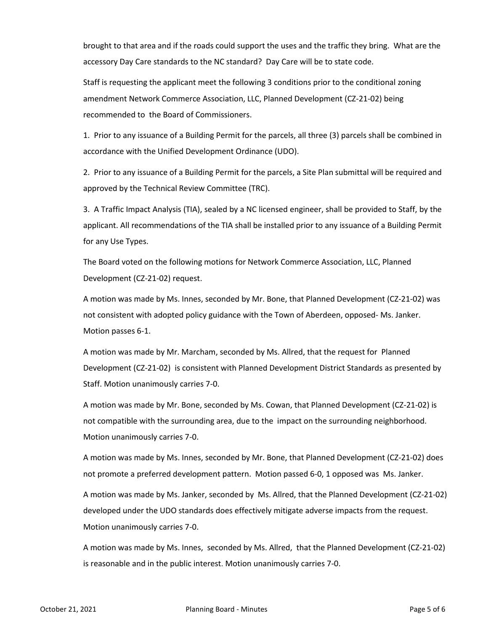brought to that area and if the roads could support the uses and the traffic they bring. What are the accessory Day Care standards to the NC standard? Day Care will be to state code.

Staff is requesting the applicant meet the following 3 conditions prior to the conditional zoning amendment Network Commerce Association, LLC, Planned Development (CZ-21-02) being recommended to the Board of Commissioners.

1. Prior to any issuance of a Building Permit for the parcels, all three (3) parcels shall be combined in accordance with the Unified Development Ordinance (UDO).

2. Prior to any issuance of a Building Permit for the parcels, a Site Plan submittal will be required and approved by the Technical Review Committee (TRC).

3. A Traffic Impact Analysis (TIA), sealed by a NC licensed engineer, shall be provided to Staff, by the applicant. All recommendations of the TIA shall be installed prior to any issuance of a Building Permit for any Use Types.

The Board voted on the following motions for Network Commerce Association, LLC, Planned Development (CZ-21-02) request.

A motion was made by Ms. Innes, seconded by Mr. Bone, that Planned Development (CZ-21-02) was not consistent with adopted policy guidance with the Town of Aberdeen, opposed- Ms. Janker. Motion passes 6-1.

A motion was made by Mr. Marcham, seconded by Ms. Allred, that the request for Planned Development (CZ-21-02) is consistent with Planned Development District Standards as presented by Staff. Motion unanimously carries 7-0.

A motion was made by Mr. Bone, seconded by Ms. Cowan, that Planned Development (CZ-21-02) is not compatible with the surrounding area, due to the impact on the surrounding neighborhood. Motion unanimously carries 7-0.

A motion was made by Ms. Innes, seconded by Mr. Bone, that Planned Development (CZ-21-02) does not promote a preferred development pattern. Motion passed 6-0, 1 opposed was Ms. Janker.

A motion was made by Ms. Janker, seconded by Ms. Allred, that the Planned Development (CZ-21-02) developed under the UDO standards does effectively mitigate adverse impacts from the request. Motion unanimously carries 7-0.

A motion was made by Ms. Innes, seconded by Ms. Allred, that the Planned Development (CZ-21-02) is reasonable and in the public interest. Motion unanimously carries 7-0.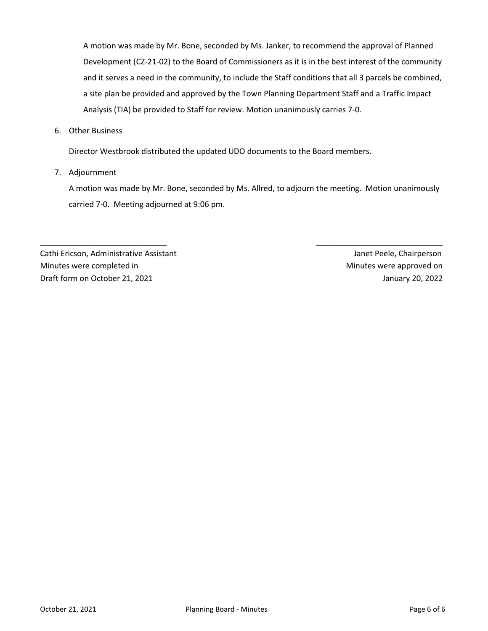A motion was made by Mr. Bone, seconded by Ms. Janker, to recommend the approval of Planned Development (CZ-21-02) to the Board of Commissioners as it is in the best interest of the community and it serves a need in the community, to include the Staff conditions that all 3 parcels be combined, a site plan be provided and approved by the Town Planning Department Staff and a Traffic Impact Analysis (TIA) be provided to Staff for review. Motion unanimously carries 7-0.

6. Other Business

Director Westbrook distributed the updated UDO documents to the Board members.

7. Adjournment

A motion was made by Mr. Bone, seconded by Ms. Allred, to adjourn the meeting. Motion unanimously carried 7-0. Meeting adjourned at 9:06 pm.

\_\_\_\_\_\_\_\_\_\_\_\_\_\_\_\_\_\_\_\_\_\_\_\_\_\_\_\_\_ \_\_\_\_\_\_\_\_\_\_\_\_\_\_\_\_\_\_\_\_\_\_\_\_\_\_\_\_\_

Cathi Ericson, Administrative Assistant Janet Peele, Chairperson Minutes were completed in Minutes were approved on Draft form on October 21, 2021 January 20, 2022